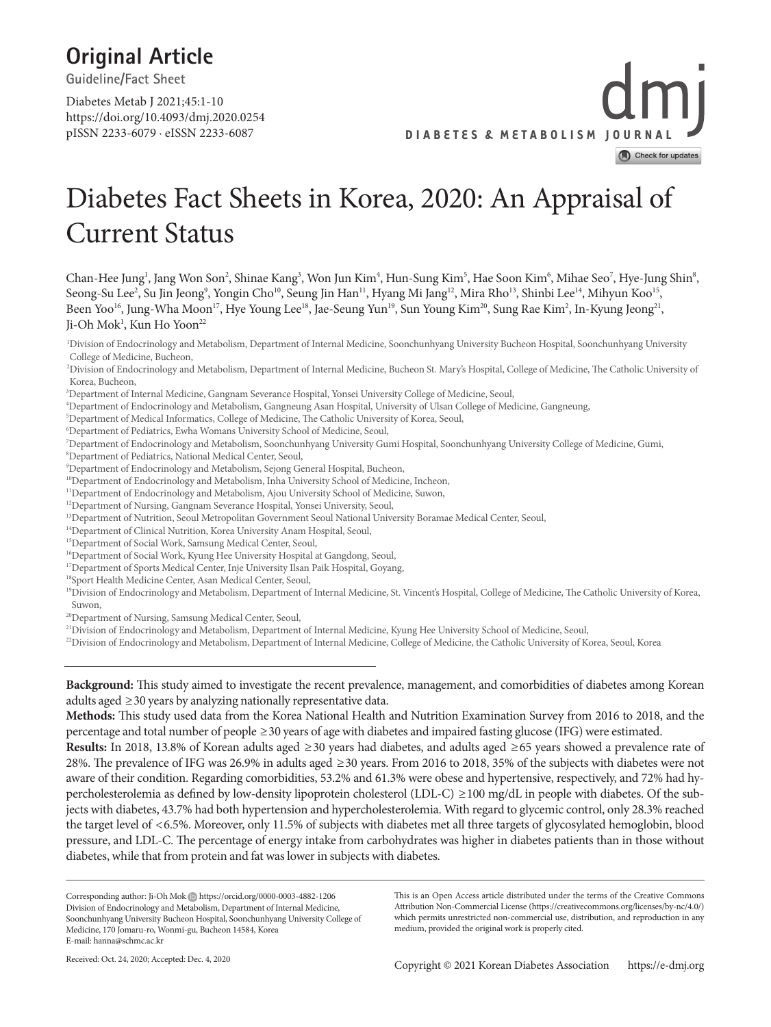## **Original Article**

**Guideline/Fact Sheet**

https://doi.org/10.4093/dmj.2020.0254 pISSN 2233-6079 · eISSN 2233-6087 Diabetes Metab J 2021;45:1-10



## Diabetes Fact Sheets in Korea, 2020: An Appraisal of Current Status

Chan-Hee Jung<sup>1</sup>, Jang Won Son<sup>2</sup>, Shinae Kang<sup>3</sup>, Won Jun Kim<sup>4</sup>, Hun-Sung Kim<sup>5</sup>, Hae Soon Kim<sup>6</sup>, Mihae Seo<sup>7</sup>, Hye-Jung Shin<sup>8</sup>, Seong-Su Lee<sup>2</sup>, Su Jin Jeong<sup>9</sup>, Yongin Cho<sup>10</sup>, Seung Jin Han<sup>11</sup>, Hyang Mi Jang<sup>12</sup>, Mira Rho<sup>13</sup>, Shinbi Lee<sup>14</sup>, Mihyun Koo<sup>15</sup>, Been Yoo<sup>16</sup>, Jung-Wha Moon<sup>17</sup>, Hye Young Lee<sup>18</sup>, Jae-Seung Yun<sup>19</sup>, Sun Young Kim<sup>20</sup>, Sung Rae Kim<sup>2</sup>, In-Kyung Jeong<sup>21</sup>, Ji-Oh Mok<sup>1</sup>, Kun Ho Yoon<sup>22</sup>

1 Division of Endocrinology and Metabolism, Department of Internal Medicine, Soonchunhyang University Bucheon Hospital, Soonchunhyang University College of Medicine, Bucheon,

2 Division of Endocrinology and Metabolism, Department of Internal Medicine, Bucheon St. Mary's Hospital, College of Medicine, The Catholic University of Korea, Bucheon,

- 4 Department of Endocrinology and Metabolism, Gangneung Asan Hospital, University of Ulsan College of Medicine, Gangneung,
- 5 Department of Medical Informatics, College of Medicine, The Catholic University of Korea, Seoul,
- 6 Department of Pediatrics, Ewha Womans University School of Medicine, Seoul,
- 7 Department of Endocrinology and Metabolism, Soonchunhyang University Gumi Hospital, Soonchunhyang University College of Medicine, Gumi,
- 8 Department of Pediatrics, National Medical Center, Seoul,
- 9 Department of Endocrinology and Metabolism, Sejong General Hospital, Bucheon,
- <sup>10</sup>Department of Endocrinology and Metabolism, Inha University School of Medicine, Incheon,
- <sup>11</sup>Department of Endocrinology and Metabolism, Ajou University School of Medicine, Suwon,
- <sup>12</sup>Department of Nursing, Gangnam Severance Hospital, Yonsei University, Seoul,
- <sup>13</sup>Department of Nutrition, Seoul Metropolitan Government Seoul National University Boramae Medical Center, Seoul,
- 14Department of Clinical Nutrition, Korea University Anam Hospital, Seoul,
- <sup>15</sup>Department of Social Work, Samsung Medical Center, Seoul,
- <sup>16</sup>Department of Social Work, Kyung Hee University Hospital at Gangdong, Seoul,
- <sup>17</sup>Department of Sports Medical Center, Inje University Ilsan Paik Hospital, Goyang,
- 18Sport Health Medicine Center, Asan Medical Center, Seoul,
- <sup>19</sup>Division of Endocrinology and Metabolism, Department of Internal Medicine, St. Vincent's Hospital, College of Medicine, The Catholic University of Korea, Suwon,

<sup>20</sup>Department of Nursing, Samsung Medical Center, Seoul,

<sup>21</sup>Division of Endocrinology and Metabolism, Department of Internal Medicine, Kyung Hee University School of Medicine, Seoul,

<sup>22</sup>Division of Endocrinology and Metabolism, Department of Internal Medicine, College of Medicine, the Catholic University of Korea, Seoul, Korea

**Background:** This study aimed to investigate the recent prevalence, management, and comorbidities of diabetes among Korean adults aged  $\geq$  30 years by analyzing nationally representative data.

**Methods:** This study used data from the Korea National Health and Nutrition Examination Survey from 2016 to 2018, and the percentage and total number of people ≥30 years of age with diabetes and impaired fasting glucose (IFG) were estimated.

**Results:** In 2018, 13.8% of Korean adults aged ≥30 years had diabetes, and adults aged ≥65 years showed a prevalence rate of 28%. The prevalence of IFG was 26.9% in adults aged ≥30 years. From 2016 to 2018, 35% of the subjects with diabetes were not aware of their condition. Regarding comorbidities, 53.2% and 61.3% were obese and hypertensive, respectively, and 72% had hypercholesterolemia as defined by low-density lipoprotein cholesterol (LDL-C) ≥100 mg/dL in people with diabetes. Of the subjects with diabetes, 43.7% had both hypertension and hypercholesterolemia. With regard to glycemic control, only 28.3% reached the target level of <6.5%. Moreover, only 11.5% of subjects with diabetes met all three targets of glycosylated hemoglobin, blood pressure, and LDL-C. The percentage of energy intake from carbohydrates was higher in diabetes patients than in those without diabetes, while that from protein and fat was lower in subjects with diabetes.

Corresponding author: Ji-Oh Mok (b) https://orcid.org/0000-0003-4882-1206 Division of Endocrinology and Metabolism, Department of Internal Medicine, Soonchunhyang University Bucheon Hospital, Soonchunhyang University College of Medicine, 170 Jomaru-ro, Wonmi-gu, Bucheon 14584, Korea E-mail: hanna@schmc.ac.kr

This is an Open Access article distributed under the terms of the Creative Commons Attribution Non-Commercial License (https://creativecommons.org/licenses/by-nc/4.0/) which permits unrestricted non-commercial use, distribution, and reproduction in any medium, provided the original work is properly cited.

<sup>3</sup> Department of Internal Medicine, Gangnam Severance Hospital, Yonsei University College of Medicine, Seoul,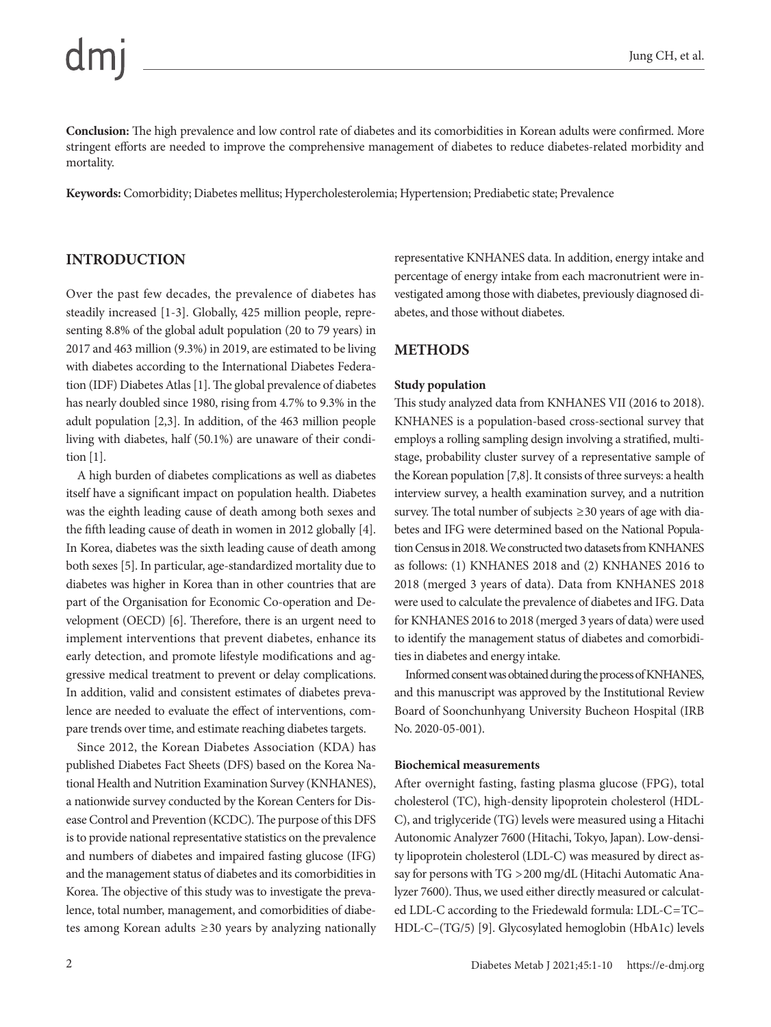Jung CH, et al.

**Conclusion:** The high prevalence and low control rate of diabetes and its comorbidities in Korean adults were confirmed. More stringent efforts are needed to improve the comprehensive management of diabetes to reduce diabetes-related morbidity and mortality.

**Keywords:** Comorbidity; Diabetes mellitus; Hypercholesterolemia; Hypertension; Prediabetic state; Prevalence

#### **INTRODUCTION**

Over the past few decades, the prevalence of diabetes has steadily increased [1-3]. Globally, 425 million people, representing 8.8% of the global adult population (20 to 79 years) in 2017 and 463 million (9.3%) in 2019, are estimated to be living with diabetes according to the International Diabetes Federation (IDF) Diabetes Atlas [1]. The global prevalence of diabetes has nearly doubled since 1980, rising from 4.7% to 9.3% in the adult population [2,3]. In addition, of the 463 million people living with diabetes, half (50.1%) are unaware of their condition [1].

A high burden of diabetes complications as well as diabetes itself have a significant impact on population health. Diabetes was the eighth leading cause of death among both sexes and the fifth leading cause of death in women in 2012 globally [4]. In Korea, diabetes was the sixth leading cause of death among both sexes [5]. In particular, age-standardized mortality due to diabetes was higher in Korea than in other countries that are part of the Organisation for Economic Co-operation and Development (OECD) [6]. Therefore, there is an urgent need to implement interventions that prevent diabetes, enhance its early detection, and promote lifestyle modifications and aggressive medical treatment to prevent or delay complications. In addition, valid and consistent estimates of diabetes prevalence are needed to evaluate the effect of interventions, compare trends over time, and estimate reaching diabetes targets.

Since 2012, the Korean Diabetes Association (KDA) has published Diabetes Fact Sheets (DFS) based on the Korea National Health and Nutrition Examination Survey (KNHANES), a nationwide survey conducted by the Korean Centers for Disease Control and Prevention (KCDC). The purpose of this DFS is to provide national representative statistics on the prevalence and numbers of diabetes and impaired fasting glucose (IFG) and the management status of diabetes and its comorbidities in Korea. The objective of this study was to investigate the prevalence, total number, management, and comorbidities of diabetes among Korean adults ≥30 years by analyzing nationally representative KNHANES data. In addition, energy intake and percentage of energy intake from each macronutrient were investigated among those with diabetes, previously diagnosed diabetes, and those without diabetes.

## **METHODS**

#### **Study population**

This study analyzed data from KNHANES VII (2016 to 2018). KNHANES is a population-based cross-sectional survey that employs a rolling sampling design involving a stratified, multistage, probability cluster survey of a representative sample of the Korean population [7,8]. It consists of three surveys: a health interview survey, a health examination survey, and a nutrition survey. The total number of subjects  $\geq$  30 years of age with diabetes and IFG were determined based on the National Population Census in 2018. We constructed two datasets from KNHANES as follows: (1) KNHANES 2018 and (2) KNHANES 2016 to 2018 (merged 3 years of data). Data from KNHANES 2018 were used to calculate the prevalence of diabetes and IFG. Data for KNHANES 2016 to 2018 (merged 3 years of data) were used to identify the management status of diabetes and comorbidities in diabetes and energy intake.

Informed consent was obtained during the process of KNHANES, and this manuscript was approved by the Institutional Review Board of Soonchunhyang University Bucheon Hospital (IRB No. 2020-05-001).

#### **Biochemical measurements**

After overnight fasting, fasting plasma glucose (FPG), total cholesterol (TC), high-density lipoprotein cholesterol (HDL-C), and triglyceride (TG) levels were measured using a Hitachi Autonomic Analyzer 7600 (Hitachi, Tokyo, Japan). Low-density lipoprotein cholesterol (LDL-C) was measured by direct assay for persons with TG >200 mg/dL (Hitachi Automatic Analyzer 7600). Thus, we used either directly measured or calculated LDL-C according to the Friedewald formula: LDL-C=TC– HDL-C–(TG/5) [9]. Glycosylated hemoglobin (HbA1c) levels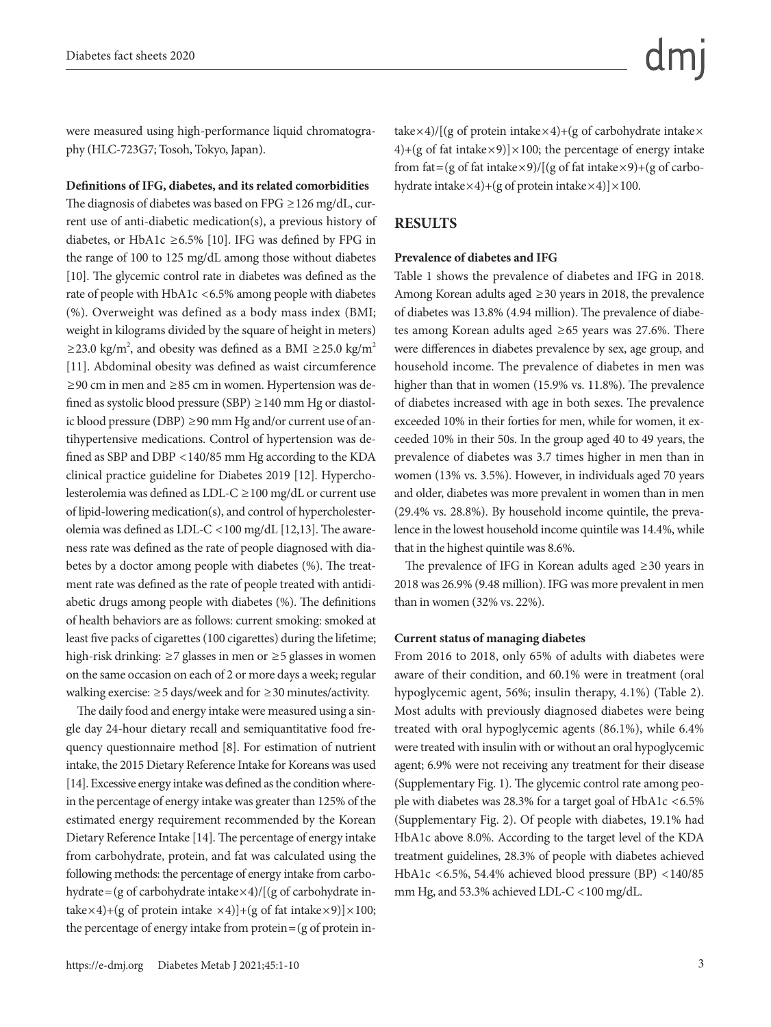were measured using high-performance liquid chromatography (HLC-723G7; Tosoh, Tokyo, Japan).

#### **Definitions of IFG, diabetes, and its related comorbidities**

The diagnosis of diabetes was based on FPG ≥126 mg/dL, current use of anti-diabetic medication(s), a previous history of diabetes, or HbA1c ≥6.5% [10]. IFG was defined by FPG in the range of 100 to 125 mg/dL among those without diabetes [10]. The glycemic control rate in diabetes was defined as the rate of people with HbA1c <6.5% among people with diabetes (%). Overweight was defined as a body mass index (BMI; weight in kilograms divided by the square of height in meters) ≥23.0 kg/m<sup>2</sup>, and obesity was defined as a BMI ≥25.0 kg/m<sup>2</sup> [11]. Abdominal obesity was defined as waist circumference ≥90 cm in men and ≥85 cm in women. Hypertension was defined as systolic blood pressure (SBP)  $\geq$  140 mm Hg or diastolic blood pressure (DBP) ≥90 mm Hg and/or current use of antihypertensive medications. Control of hypertension was defined as SBP and DBP <140/85 mm Hg according to the KDA clinical practice guideline for Diabetes 2019 [12]. Hypercholesterolemia was defined as LDL-C ≥100 mg/dL or current use of lipid-lowering medication(s), and control of hypercholesterolemia was defined as LDL-C <100 mg/dL [12,13]. The awareness rate was defined as the rate of people diagnosed with diabetes by a doctor among people with diabetes (%). The treatment rate was defined as the rate of people treated with antidiabetic drugs among people with diabetes (%). The definitions of health behaviors are as follows: current smoking: smoked at least five packs of cigarettes (100 cigarettes) during the lifetime; high-risk drinking: ≥7 glasses in men or ≥5 glasses in women on the same occasion on each of 2 or more days a week; regular walking exercise: ≥5 days/week and for ≥30 minutes/activity.

The daily food and energy intake were measured using a single day 24-hour dietary recall and semiquantitative food frequency questionnaire method [8]. For estimation of nutrient intake, the 2015 Dietary Reference Intake for Koreans was used [14]. Excessive energy intake was defined as the condition wherein the percentage of energy intake was greater than 125% of the estimated energy requirement recommended by the Korean Dietary Reference Intake [14]. The percentage of energy intake from carbohydrate, protein, and fat was calculated using the following methods: the percentage of energy intake from carbohydrate=(g of carbohydrate intake $\times$ 4)/[(g of carbohydrate intake×4)+(g of protein intake ×4)]+(g of fat intake×9)]×100; the percentage of energy intake from  $protein = (g \text{ of protein in-})$ 

take×4)/[(g of protein intake×4)+(g of carbohydrate intake× 4)+(g of fat intake $\times$ 9)] $\times$ 100; the percentage of energy intake from fat=(g of fat intake×9)/[(g of fat intake×9)+(g of carbohydrate intake $\times$ 4)+(g of protein intake $\times$ 4)] $\times$ 100.

#### **RESULTS**

#### **Prevalence of diabetes and IFG**

Table 1 shows the prevalence of diabetes and IFG in 2018. Among Korean adults aged ≥30 years in 2018, the prevalence of diabetes was 13.8% (4.94 million). The prevalence of diabetes among Korean adults aged ≥65 years was 27.6%. There were differences in diabetes prevalence by sex, age group, and household income. The prevalence of diabetes in men was higher than that in women (15.9% vs. 11.8%). The prevalence of diabetes increased with age in both sexes. The prevalence exceeded 10% in their forties for men, while for women, it exceeded 10% in their 50s. In the group aged 40 to 49 years, the prevalence of diabetes was 3.7 times higher in men than in women (13% vs. 3.5%). However, in individuals aged 70 years and older, diabetes was more prevalent in women than in men (29.4% vs. 28.8%). By household income quintile, the prevalence in the lowest household income quintile was 14.4%, while that in the highest quintile was 8.6%.

The prevalence of IFG in Korean adults aged ≥30 years in 2018 was 26.9% (9.48 million). IFG was more prevalent in men than in women (32% vs. 22%).

#### **Current status of managing diabetes**

From 2016 to 2018, only 65% of adults with diabetes were aware of their condition, and 60.1% were in treatment (oral hypoglycemic agent, 56%; insulin therapy, 4.1%) (Table 2). Most adults with previously diagnosed diabetes were being treated with oral hypoglycemic agents (86.1%), while 6.4% were treated with insulin with or without an oral hypoglycemic agent; 6.9% were not receiving any treatment for their disease (Supplementary Fig. 1). The glycemic control rate among people with diabetes was 28.3% for a target goal of HbA1c <6.5% (Supplementary Fig. 2). Of people with diabetes, 19.1% had HbA1c above 8.0%. According to the target level of the KDA treatment guidelines, 28.3% of people with diabetes achieved HbA1c <6.5%, 54.4% achieved blood pressure (BP) <140/85 mm Hg, and 53.3% achieved LDL-C <100 mg/dL.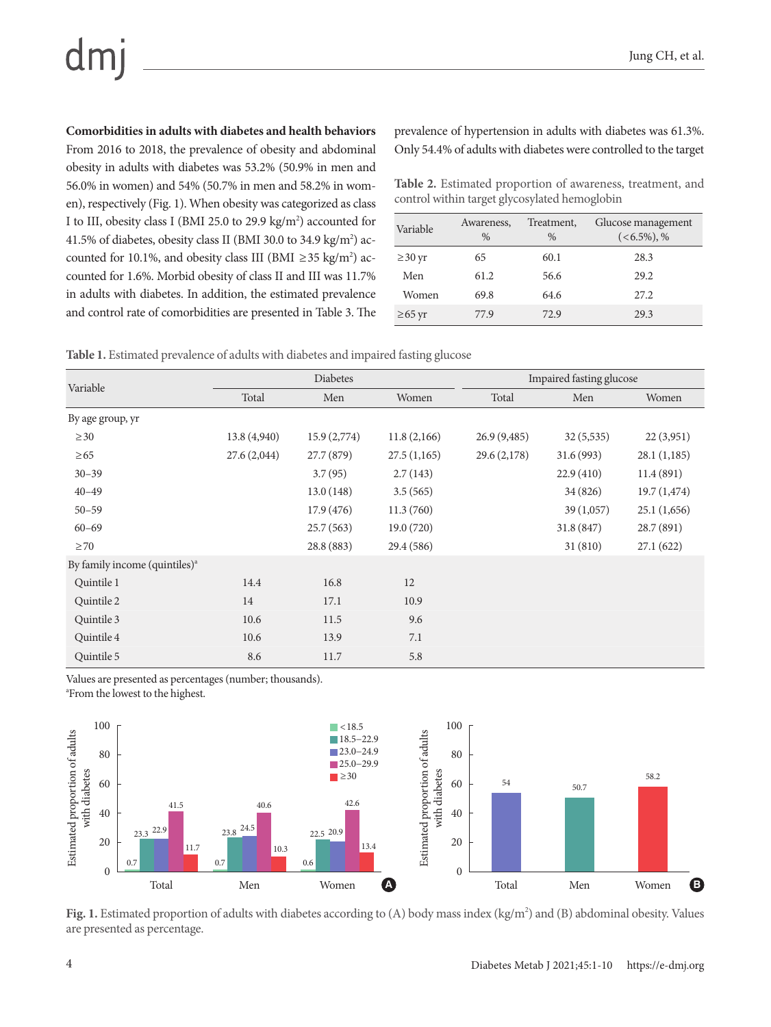# dm

**Comorbidities in adults with diabetes and health behaviors**

From 2016 to 2018, the prevalence of obesity and abdominal obesity in adults with diabetes was 53.2% (50.9% in men and 56.0% in women) and 54% (50.7% in men and 58.2% in women), respectively (Fig. 1). When obesity was categorized as class I to III, obesity class I (BMI 25.0 to 29.9  $\text{kg/m}^2$ ) accounted for 41.5% of diabetes, obesity class II (BMI 30.0 to 34.9 kg/m<sup>2</sup>) accounted for 10.1%, and obesity class III (BMI  $\geq$  35 kg/m<sup>2</sup>) accounted for 1.6%. Morbid obesity of class II and III was 11.7% in adults with diabetes. In addition, the estimated prevalence and control rate of comorbidities are presented in Table 3. The

prevalence of hypertension in adults with diabetes was 61.3%. Only 54.4% of adults with diabetes were controlled to the target

**Table 2.** Estimated proportion of awareness, treatment, and control within target glycosylated hemoglobin

| Variable     | Awareness,<br>$\frac{0}{0}$ | Treatment,<br>$\frac{0}{0}$ | Glucose management<br>$(<\!6.5\%)$ , % |
|--------------|-----------------------------|-----------------------------|----------------------------------------|
| $\geq$ 30 yr | 65                          | 60.1                        | 28.3                                   |
| Men          | 61.2                        | 56.6                        | 29.2                                   |
| Women        | 69.8                        | 64.6                        | 27.2                                   |
| $\geq 65$ yr | 77.9                        | 72.9                        | 29.3                                   |

**Table 1.** Estimated prevalence of adults with diabetes and impaired fasting glucose

|                                           |             | Diabetes    |             | Impaired fasting glucose |            |             |  |
|-------------------------------------------|-------------|-------------|-------------|--------------------------|------------|-------------|--|
| Variable                                  | Total       | Men         | Women       | Total                    | Men        | Women       |  |
| By age group, yr                          |             |             |             |                          |            |             |  |
| $\geq 30$                                 | 13.8(4,940) | 15.9(2,774) | 11.8(2,166) | 26.9(9,485)              | 32(5,535)  | 22(3,951)   |  |
| $\geq 65$                                 | 27.6(2,044) | 27.7 (879)  | 27.5(1,165) | 29.6(2,178)              | 31.6(993)  | 28.1(1,185) |  |
| $30 - 39$                                 |             | 3.7(95)     | 2.7(143)    |                          | 22.9(410)  | 11.4(891)   |  |
| $40 - 49$                                 |             | 13.0(148)   | 3.5(565)    |                          | 34 (826)   | 19.7(1,474) |  |
| $50 - 59$                                 |             | 17.9(476)   | 11.3(760)   |                          | 39(1,057)  | 25.1(1,656) |  |
| $60 - 69$                                 |             | 25.7(563)   | 19.0(720)   |                          | 31.8 (847) | 28.7 (891)  |  |
| $\geq$ 70                                 |             | 28.8 (883)  | 29.4 (586)  |                          | 31(810)    | 27.1(622)   |  |
| By family income (quintiles) <sup>a</sup> |             |             |             |                          |            |             |  |
| Quintile 1                                | 14.4        | 16.8        | 12          |                          |            |             |  |
| Quintile 2                                | 14          | 17.1        | 10.9        |                          |            |             |  |
| Quintile 3                                | 10.6        | 11.5        | 9.6         |                          |            |             |  |
| Quintile 4                                | 10.6        | 13.9        | 7.1         |                          |            |             |  |
| Quintile 5                                | 8.6         | 11.7        | 5.8         |                          |            |             |  |

Values are presented as percentages (number; thousands).





Fig. 1. Estimated proportion of adults with diabetes according to (A) body mass index (kg/m<sup>2</sup>) and (B) abdominal obesity. Values are presented as percentage.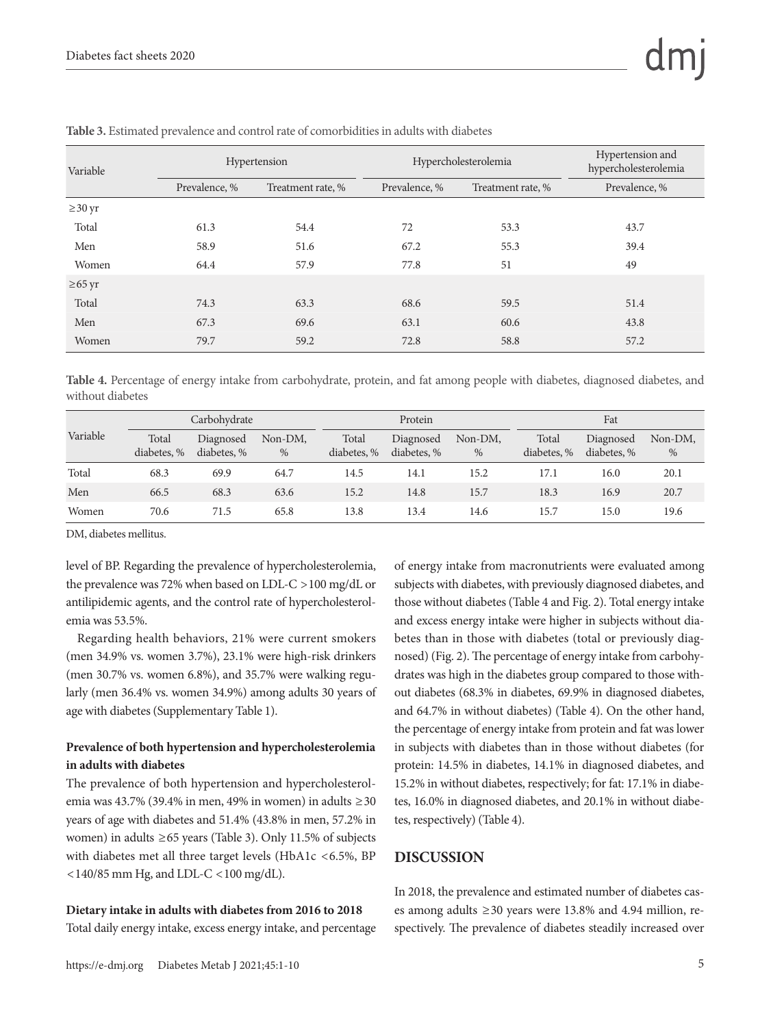| Variable     |               | Hypertension      |               | Hypercholesterolemia | Hypertension and<br>hypercholesterolemia |  |
|--------------|---------------|-------------------|---------------|----------------------|------------------------------------------|--|
|              | Prevalence, % | Treatment rate, % | Prevalence, % | Treatment rate, %    | Prevalence, %                            |  |
| $\geq$ 30 yr |               |                   |               |                      |                                          |  |
| Total        | 61.3          | 54.4              | 72            | 53.3                 | 43.7                                     |  |
| Men          | 58.9          | 51.6              | 67.2          | 55.3                 | 39.4                                     |  |
| Women        | 64.4          | 57.9              | 77.8          | 51                   | 49                                       |  |
| $\geq 65$ yr |               |                   |               |                      |                                          |  |
| Total        | 74.3          | 63.3              | 68.6          | 59.5                 | 51.4                                     |  |
| Men          | 67.3          | 69.6              | 63.1          | 60.6                 | 43.8                                     |  |
| Women        | 79.7          | 59.2              | 72.8          | 58.8                 | 57.2                                     |  |

**Table 3.** Estimated prevalence and control rate of comorbidities in adults with diabetes

**Table 4.** Percentage of energy intake from carbohydrate, protein, and fat among people with diabetes, diagnosed diabetes, and without diabetes

|          | Carbohydrate         |                          | Protein         |                      |                          | Fat          |                      |                          |              |
|----------|----------------------|--------------------------|-----------------|----------------------|--------------------------|--------------|----------------------|--------------------------|--------------|
| Variable | Total<br>diabetes, % | Diagnosed<br>diabetes, % | Non-DM,<br>$\%$ | Total<br>diabetes, % | Diagnosed<br>diabetes, % | Non-DM,<br>% | Total<br>diabetes, % | Diagnosed<br>diabetes, % | Non-DM,<br>% |
| Total    | 68.3                 | 69.9                     | 64.7            | 14.5                 | 14.1                     | 15.2         | 17.1                 | 16.0                     | 20.1         |
| Men      | 66.5                 | 68.3                     | 63.6            | 15.2                 | 14.8                     | 15.7         | 18.3                 | 16.9                     | 20.7         |
| Women    | 70.6                 | 71.5                     | 65.8            | 13.8                 | 13.4                     | 14.6         | 15.7                 | 15.0                     | 19.6         |

DM, diabetes mellitus.

level of BP. Regarding the prevalence of hypercholesterolemia, the prevalence was 72% when based on LDL-C >100 mg/dL or antilipidemic agents, and the control rate of hypercholesterolemia was 53.5%.

Regarding health behaviors, 21% were current smokers (men 34.9% vs. women 3.7%), 23.1% were high-risk drinkers (men 30.7% vs. women 6.8%), and 35.7% were walking regularly (men 36.4% vs. women 34.9%) among adults 30 years of age with diabetes (Supplementary Table 1).

#### **Prevalence of both hypertension and hypercholesterolemia in adults with diabetes**

The prevalence of both hypertension and hypercholesterolemia was 43.7% (39.4% in men, 49% in women) in adults ≥30 years of age with diabetes and 51.4% (43.8% in men, 57.2% in women) in adults ≥65 years (Table 3). Only 11.5% of subjects with diabetes met all three target levels (HbA1c <6.5%, BP <140/85 mm Hg, and LDL-C <100 mg/dL).

#### **Dietary intake in adults with diabetes from 2016 to 2018**

Total daily energy intake, excess energy intake, and percentage

of energy intake from macronutrients were evaluated among subjects with diabetes, with previously diagnosed diabetes, and those without diabetes (Table 4 and Fig. 2). Total energy intake and excess energy intake were higher in subjects without diabetes than in those with diabetes (total or previously diagnosed) (Fig. 2). The percentage of energy intake from carbohydrates was high in the diabetes group compared to those without diabetes (68.3% in diabetes, 69.9% in diagnosed diabetes, and 64.7% in without diabetes) (Table 4). On the other hand, the percentage of energy intake from protein and fat was lower in subjects with diabetes than in those without diabetes (for protein: 14.5% in diabetes, 14.1% in diagnosed diabetes, and 15.2% in without diabetes, respectively; for fat: 17.1% in diabetes, 16.0% in diagnosed diabetes, and 20.1% in without diabetes, respectively) (Table 4).

#### **DISCUSSION**

In 2018, the prevalence and estimated number of diabetes cases among adults ≥30 years were 13.8% and 4.94 million, respectively. The prevalence of diabetes steadily increased over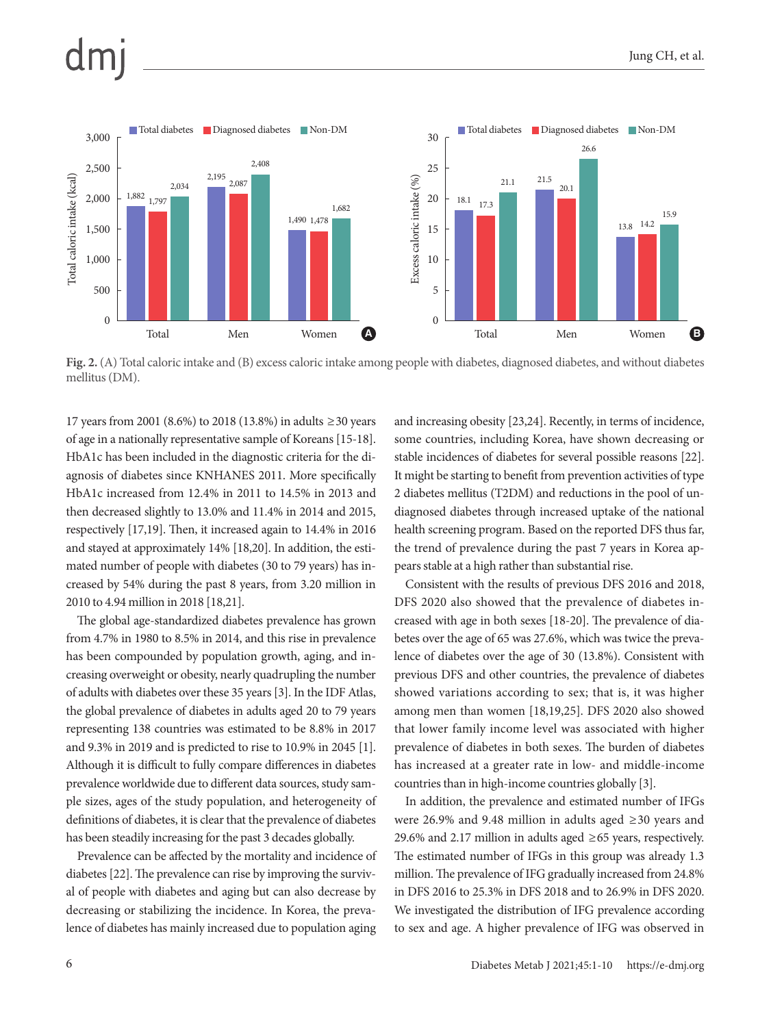

**Fig. 2.** (A) Total caloric intake and (B) excess caloric intake among people with diabetes, diagnosed diabetes, and without diabetes mellitus (DM).

17 years from 2001 (8.6%) to 2018 (13.8%) in adults ≥30 years of age in a nationally representative sample of Koreans [15-18]. HbA1c has been included in the diagnostic criteria for the diagnosis of diabetes since KNHANES 2011. More specifically HbA1c increased from 12.4% in 2011 to 14.5% in 2013 and then decreased slightly to 13.0% and 11.4% in 2014 and 2015, respectively [17,19]. Then, it increased again to 14.4% in 2016 and stayed at approximately 14% [18,20]. In addition, the estimated number of people with diabetes (30 to 79 years) has increased by 54% during the past 8 years, from 3.20 million in 2010 to 4.94 million in 2018 [18,21].

The global age-standardized diabetes prevalence has grown from 4.7% in 1980 to 8.5% in 2014, and this rise in prevalence has been compounded by population growth, aging, and increasing overweight or obesity, nearly quadrupling the number of adults with diabetes over these 35 years [3]. In the IDF Atlas, the global prevalence of diabetes in adults aged 20 to 79 years representing 138 countries was estimated to be 8.8% in 2017 and 9.3% in 2019 and is predicted to rise to 10.9% in 2045 [1]. Although it is difficult to fully compare differences in diabetes prevalence worldwide due to different data sources, study sample sizes, ages of the study population, and heterogeneity of definitions of diabetes, it is clear that the prevalence of diabetes has been steadily increasing for the past 3 decades globally.

Prevalence can be affected by the mortality and incidence of diabetes [22]. The prevalence can rise by improving the survival of people with diabetes and aging but can also decrease by decreasing or stabilizing the incidence. In Korea, the prevalence of diabetes has mainly increased due to population aging

and increasing obesity [23,24]. Recently, in terms of incidence, some countries, including Korea, have shown decreasing or stable incidences of diabetes for several possible reasons [22]. It might be starting to benefit from prevention activities of type 2 diabetes mellitus (T2DM) and reductions in the pool of undiagnosed diabetes through increased uptake of the national health screening program. Based on the reported DFS thus far, the trend of prevalence during the past 7 years in Korea appears stable at a high rather than substantial rise.

Consistent with the results of previous DFS 2016 and 2018, DFS 2020 also showed that the prevalence of diabetes increased with age in both sexes [18-20]. The prevalence of diabetes over the age of 65 was 27.6%, which was twice the prevalence of diabetes over the age of 30 (13.8%). Consistent with previous DFS and other countries, the prevalence of diabetes showed variations according to sex; that is, it was higher among men than women [18,19,25]. DFS 2020 also showed that lower family income level was associated with higher prevalence of diabetes in both sexes. The burden of diabetes has increased at a greater rate in low- and middle-income countries than in high-income countries globally [3].

In addition, the prevalence and estimated number of IFGs were 26.9% and 9.48 million in adults aged ≥30 years and 29.6% and 2.17 million in adults aged ≥65 years, respectively. The estimated number of IFGs in this group was already 1.3 million. The prevalence of IFG gradually increased from 24.8% in DFS 2016 to 25.3% in DFS 2018 and to 26.9% in DFS 2020. We investigated the distribution of IFG prevalence according to sex and age. A higher prevalence of IFG was observed in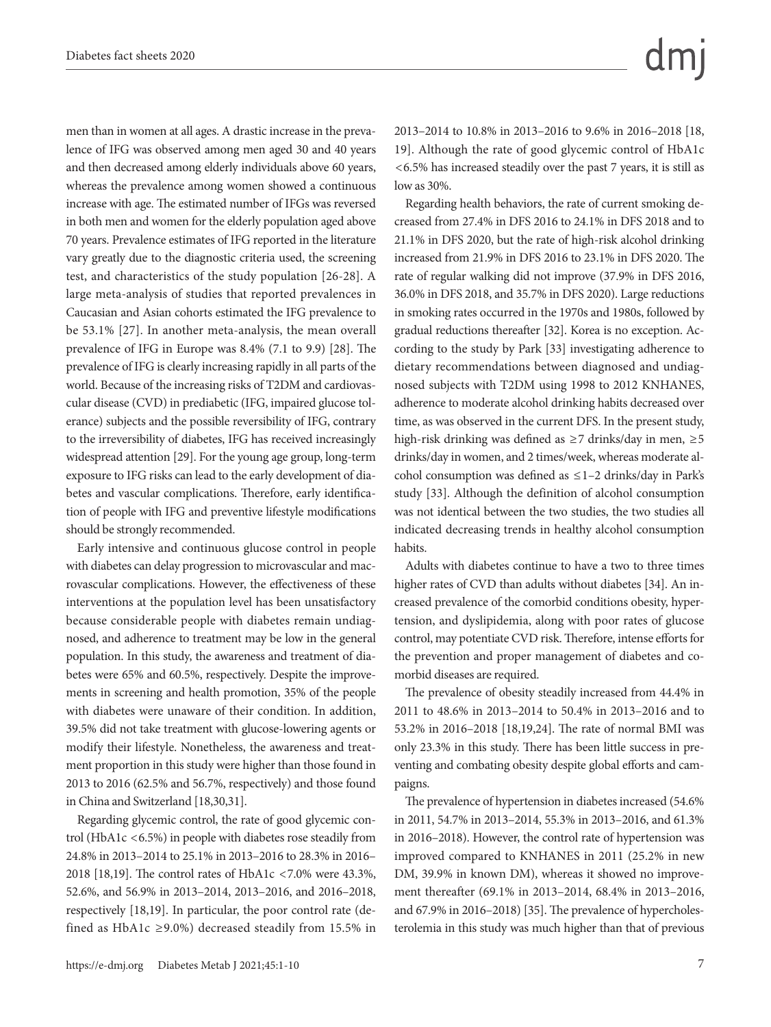men than in women at all ages. A drastic increase in the prevalence of IFG was observed among men aged 30 and 40 years and then decreased among elderly individuals above 60 years, whereas the prevalence among women showed a continuous increase with age. The estimated number of IFGs was reversed in both men and women for the elderly population aged above 70 years. Prevalence estimates of IFG reported in the literature vary greatly due to the diagnostic criteria used, the screening test, and characteristics of the study population [26-28]. A large meta-analysis of studies that reported prevalences in Caucasian and Asian cohorts estimated the IFG prevalence to be 53.1% [27]. In another meta-analysis, the mean overall prevalence of IFG in Europe was 8.4% (7.1 to 9.9) [28]. The prevalence of IFG is clearly increasing rapidly in all parts of the world. Because of the increasing risks of T2DM and cardiovascular disease (CVD) in prediabetic (IFG, impaired glucose tolerance) subjects and the possible reversibility of IFG, contrary to the irreversibility of diabetes, IFG has received increasingly widespread attention [29]. For the young age group, long-term exposure to IFG risks can lead to the early development of diabetes and vascular complications. Therefore, early identification of people with IFG and preventive lifestyle modifications should be strongly recommended.

Early intensive and continuous glucose control in people with diabetes can delay progression to microvascular and macrovascular complications. However, the effectiveness of these interventions at the population level has been unsatisfactory because considerable people with diabetes remain undiagnosed, and adherence to treatment may be low in the general population. In this study, the awareness and treatment of diabetes were 65% and 60.5%, respectively. Despite the improvements in screening and health promotion, 35% of the people with diabetes were unaware of their condition. In addition, 39.5% did not take treatment with glucose-lowering agents or modify their lifestyle. Nonetheless, the awareness and treatment proportion in this study were higher than those found in 2013 to 2016 (62.5% and 56.7%, respectively) and those found in China and Switzerland [18,30,31].

Regarding glycemic control, the rate of good glycemic control (HbA1c <6.5%) in people with diabetes rose steadily from 24.8% in 2013–2014 to 25.1% in 2013–2016 to 28.3% in 2016– 2018 [18,19]. The control rates of HbA1c <7.0% were 43.3%, 52.6%, and 56.9% in 2013–2014, 2013–2016, and 2016–2018, respectively [18,19]. In particular, the poor control rate (defined as HbA1c ≥9.0%) decreased steadily from 15.5% in 2013–2014 to 10.8% in 2013–2016 to 9.6% in 2016–2018 [18, 19]. Although the rate of good glycemic control of HbA1c <6.5% has increased steadily over the past 7 years, it is still as low as 30%.

Regarding health behaviors, the rate of current smoking decreased from 27.4% in DFS 2016 to 24.1% in DFS 2018 and to 21.1% in DFS 2020, but the rate of high-risk alcohol drinking increased from 21.9% in DFS 2016 to 23.1% in DFS 2020. The rate of regular walking did not improve (37.9% in DFS 2016, 36.0% in DFS 2018, and 35.7% in DFS 2020). Large reductions in smoking rates occurred in the 1970s and 1980s, followed by gradual reductions thereafter [32]. Korea is no exception. According to the study by Park [33] investigating adherence to dietary recommendations between diagnosed and undiagnosed subjects with T2DM using 1998 to 2012 KNHANES, adherence to moderate alcohol drinking habits decreased over time, as was observed in the current DFS. In the present study, high-risk drinking was defined as  $\geq$ 7 drinks/day in men,  $\geq$ 5 drinks/day in women, and 2 times/week, whereas moderate alcohol consumption was defined as ≤1–2 drinks/day in Park's study [33]. Although the definition of alcohol consumption was not identical between the two studies, the two studies all indicated decreasing trends in healthy alcohol consumption habits.

Adults with diabetes continue to have a two to three times higher rates of CVD than adults without diabetes [34]. An increased prevalence of the comorbid conditions obesity, hypertension, and dyslipidemia, along with poor rates of glucose control, may potentiate CVD risk. Therefore, intense efforts for the prevention and proper management of diabetes and comorbid diseases are required.

The prevalence of obesity steadily increased from 44.4% in 2011 to 48.6% in 2013–2014 to 50.4% in 2013–2016 and to 53.2% in 2016–2018 [18,19,24]. The rate of normal BMI was only 23.3% in this study. There has been little success in preventing and combating obesity despite global efforts and campaigns.

The prevalence of hypertension in diabetes increased (54.6% in 2011, 54.7% in 2013–2014, 55.3% in 2013–2016, and 61.3% in 2016–2018). However, the control rate of hypertension was improved compared to KNHANES in 2011 (25.2% in new DM, 39.9% in known DM), whereas it showed no improvement thereafter (69.1% in 2013–2014, 68.4% in 2013–2016, and 67.9% in 2016–2018) [35]. The prevalence of hypercholesterolemia in this study was much higher than that of previous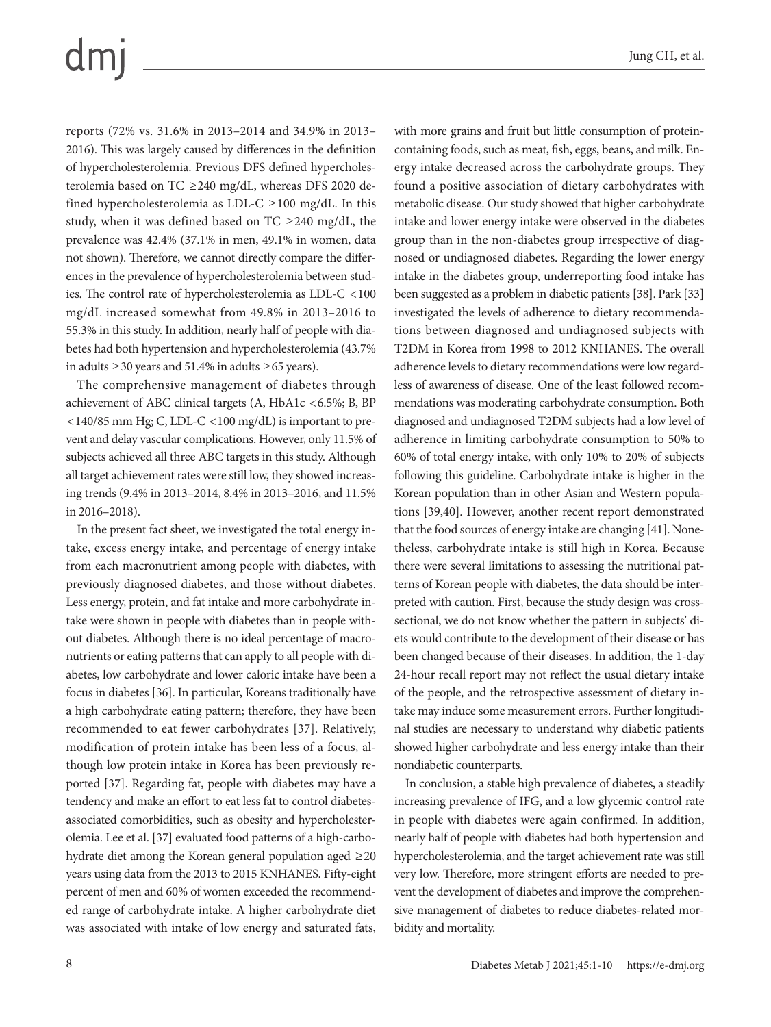# dm

reports (72% vs. 31.6% in 2013–2014 and 34.9% in 2013– 2016). This was largely caused by differences in the definition of hypercholesterolemia. Previous DFS defined hypercholesterolemia based on TC ≥240 mg/dL, whereas DFS 2020 defined hypercholesterolemia as LDL-C  $\geq$  100 mg/dL. In this study, when it was defined based on TC ≥240 mg/dL, the prevalence was 42.4% (37.1% in men, 49.1% in women, data not shown). Therefore, we cannot directly compare the differences in the prevalence of hypercholesterolemia between studies. The control rate of hypercholesterolemia as LDL-C <100 mg/dL increased somewhat from 49.8% in 2013–2016 to 55.3% in this study. In addition, nearly half of people with diabetes had both hypertension and hypercholesterolemia (43.7% in adults ≥30 years and 51.4% in adults ≥65 years).

The comprehensive management of diabetes through achievement of ABC clinical targets (A, HbA1c <6.5%; B, BP <140/85 mm Hg; C, LDL-C <100 mg/dL) is important to prevent and delay vascular complications. However, only 11.5% of subjects achieved all three ABC targets in this study. Although all target achievement rates were still low, they showed increasing trends (9.4% in 2013–2014, 8.4% in 2013–2016, and 11.5% in 2016–2018).

In the present fact sheet, we investigated the total energy intake, excess energy intake, and percentage of energy intake from each macronutrient among people with diabetes, with previously diagnosed diabetes, and those without diabetes. Less energy, protein, and fat intake and more carbohydrate intake were shown in people with diabetes than in people without diabetes. Although there is no ideal percentage of macronutrients or eating patterns that can apply to all people with diabetes, low carbohydrate and lower caloric intake have been a focus in diabetes [36]. In particular, Koreans traditionally have a high carbohydrate eating pattern; therefore, they have been recommended to eat fewer carbohydrates [37]. Relatively, modification of protein intake has been less of a focus, although low protein intake in Korea has been previously reported [37]. Regarding fat, people with diabetes may have a tendency and make an effort to eat less fat to control diabetesassociated comorbidities, such as obesity and hypercholesterolemia. Lee et al. [37] evaluated food patterns of a high-carbohydrate diet among the Korean general population aged ≥20 years using data from the 2013 to 2015 KNHANES. Fifty-eight percent of men and 60% of women exceeded the recommended range of carbohydrate intake. A higher carbohydrate diet was associated with intake of low energy and saturated fats,

containing foods, such as meat, fish, eggs, beans, and milk. Energy intake decreased across the carbohydrate groups. They found a positive association of dietary carbohydrates with metabolic disease. Our study showed that higher carbohydrate intake and lower energy intake were observed in the diabetes group than in the non-diabetes group irrespective of diagnosed or undiagnosed diabetes. Regarding the lower energy intake in the diabetes group, underreporting food intake has been suggested as a problem in diabetic patients [38]. Park [33] investigated the levels of adherence to dietary recommendations between diagnosed and undiagnosed subjects with T2DM in Korea from 1998 to 2012 KNHANES. The overall adherence levels to dietary recommendations were low regardless of awareness of disease. One of the least followed recommendations was moderating carbohydrate consumption. Both diagnosed and undiagnosed T2DM subjects had a low level of adherence in limiting carbohydrate consumption to 50% to 60% of total energy intake, with only 10% to 20% of subjects following this guideline. Carbohydrate intake is higher in the Korean population than in other Asian and Western populations [39,40]. However, another recent report demonstrated that the food sources of energy intake are changing [41]. Nonetheless, carbohydrate intake is still high in Korea. Because there were several limitations to assessing the nutritional patterns of Korean people with diabetes, the data should be interpreted with caution. First, because the study design was crosssectional, we do not know whether the pattern in subjects' diets would contribute to the development of their disease or has been changed because of their diseases. In addition, the 1-day 24-hour recall report may not reflect the usual dietary intake of the people, and the retrospective assessment of dietary intake may induce some measurement errors. Further longitudinal studies are necessary to understand why diabetic patients showed higher carbohydrate and less energy intake than their nondiabetic counterparts.

with more grains and fruit but little consumption of protein-

In conclusion, a stable high prevalence of diabetes, a steadily increasing prevalence of IFG, and a low glycemic control rate in people with diabetes were again confirmed. In addition, nearly half of people with diabetes had both hypertension and hypercholesterolemia, and the target achievement rate was still very low. Therefore, more stringent efforts are needed to prevent the development of diabetes and improve the comprehensive management of diabetes to reduce diabetes-related morbidity and mortality.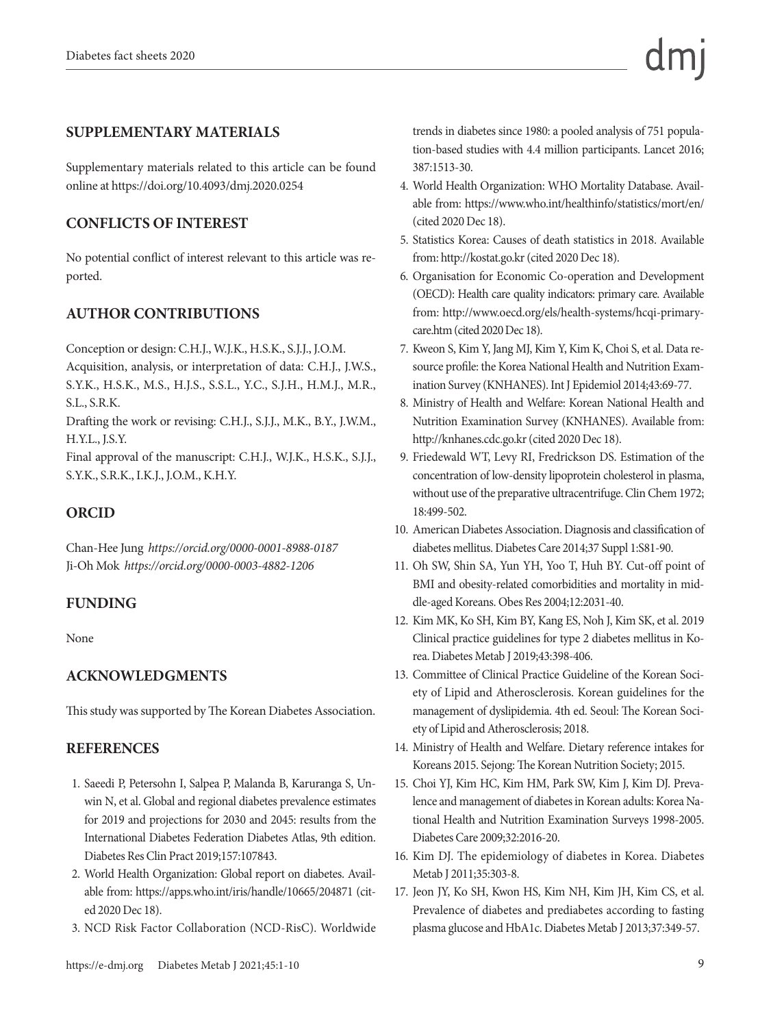#### **SUPPLEMENTARY MATERIALS**

Supplementary materials related to this article can be found online at https://doi.org/10.4093/dmj.2020.0254

## **CONFLICTS OF INTEREST**

No potential conflict of interest relevant to this article was reported.

## **AUTHOR CONTRIBUTIONS**

Conception or design: C.H.J., W.J.K., H.S.K., S.J.J., J.O.M. Acquisition, analysis, or interpretation of data: C.H.J., J.W.S., S.Y.K., H.S.K., M.S., H.J.S., S.S.L., Y.C., S.J.H., H.M.J., M.R., S.L., S.R.K.

Drafting the work or revising: C.H.J., S.J.J., M.K., B.Y., J.W.M., H.Y.L., J.S.Y.

Final approval of the manuscript: C.H.J., W.J.K., H.S.K., S.J.J., S.Y.K., S.R.K., I.K.J., J.O.M., K.H.Y.

#### **ORCID**

Chan-Hee Jung *https://orcid.org/0000-0001-8988-0187* Ji-Oh Mok *https://orcid.org/0000-0003-4882-1206*

#### **FUNDING**

None

#### **ACKNOWLEDGMENTS**

This study was supported by The Korean Diabetes Association.

#### **REFERENCES**

- 1. Saeedi P, Petersohn I, Salpea P, Malanda B, Karuranga S, Unwin N, et al. Global and regional diabetes prevalence estimates for 2019 and projections for 2030 and 2045: results from the International Diabetes Federation Diabetes Atlas, 9th edition. Diabetes Res Clin Pract 2019;157:107843.
- 2. World Health Organization: Global report on diabetes. Available from: https://apps.who.int/iris/handle/10665/204871 (cited 2020 Dec 18).
- 3. NCD Risk Factor Collaboration (NCD-RisC). Worldwide

trends in diabetes since 1980: a pooled analysis of 751 population-based studies with 4.4 million participants. Lancet 2016; 387:1513-30.

- 4. World Health Organization: WHO Mortality Database. Available from: https://www.who.int/healthinfo/statistics/mort/en/ (cited 2020 Dec 18).
- 5. Statistics Korea: Causes of death statistics in 2018. Available from: http://kostat.go.kr (cited 2020 Dec 18).
- 6. Organisation for Economic Co-operation and Development (OECD): Health care quality indicators: primary care. Available from: [http://www.oecd.org/els/health-systems/hcqi-primary](http://www.oecd.org/els/health-systems/hcqi-primary-care.htm)[care.htm](http://www.oecd.org/els/health-systems/hcqi-primary-care.htm) (cited 2020 Dec 18).
- 7. Kweon S, Kim Y, Jang MJ, Kim Y, Kim K, Choi S, et al. Data resource profile: the Korea National Health and Nutrition Examination Survey (KNHANES). Int J Epidemiol 2014;43:69-77.
- 8. Ministry of Health and Welfare: Korean National Health and Nutrition Examination Survey (KNHANES). Available from: http://knhanes.cdc.go.kr (cited 2020 Dec 18).
- 9. Friedewald WT, Levy RI, Fredrickson DS. Estimation of the concentration of low-density lipoprotein cholesterol in plasma, without use of the preparative ultracentrifuge. Clin Chem 1972; 18:499-502.
- 10. American Diabetes Association. Diagnosis and classification of diabetes mellitus. Diabetes Care 2014;37 Suppl 1:S81-90.
- 11. Oh SW, Shin SA, Yun YH, Yoo T, Huh BY. Cut-off point of BMI and obesity-related comorbidities and mortality in middle-aged Koreans. Obes Res 2004;12:2031-40.
- 12. Kim MK, Ko SH, Kim BY, Kang ES, Noh J, Kim SK, et al. 2019 Clinical practice guidelines for type 2 diabetes mellitus in Korea. Diabetes Metab J 2019;43:398-406.
- 13. Committee of Clinical Practice Guideline of the Korean Society of Lipid and Atherosclerosis. Korean guidelines for the management of dyslipidemia. 4th ed. Seoul: The Korean Society of Lipid and Atherosclerosis; 2018.
- 14. Ministry of Health and Welfare. Dietary reference intakes for Koreans 2015. Sejong: The Korean Nutrition Society; 2015.
- 15. Choi YJ, Kim HC, Kim HM, Park SW, Kim J, Kim DJ. Prevalence and management of diabetes in Korean adults: Korea National Health and Nutrition Examination Surveys 1998-2005. Diabetes Care 2009;32:2016-20.
- 16. Kim DJ. The epidemiology of diabetes in Korea. Diabetes Metab J 2011;35:303-8.
- 17. Jeon JY, Ko SH, Kwon HS, Kim NH, Kim JH, Kim CS, et al. Prevalence of diabetes and prediabetes according to fasting plasma glucose and HbA1c. Diabetes Metab J 2013;37:349-57.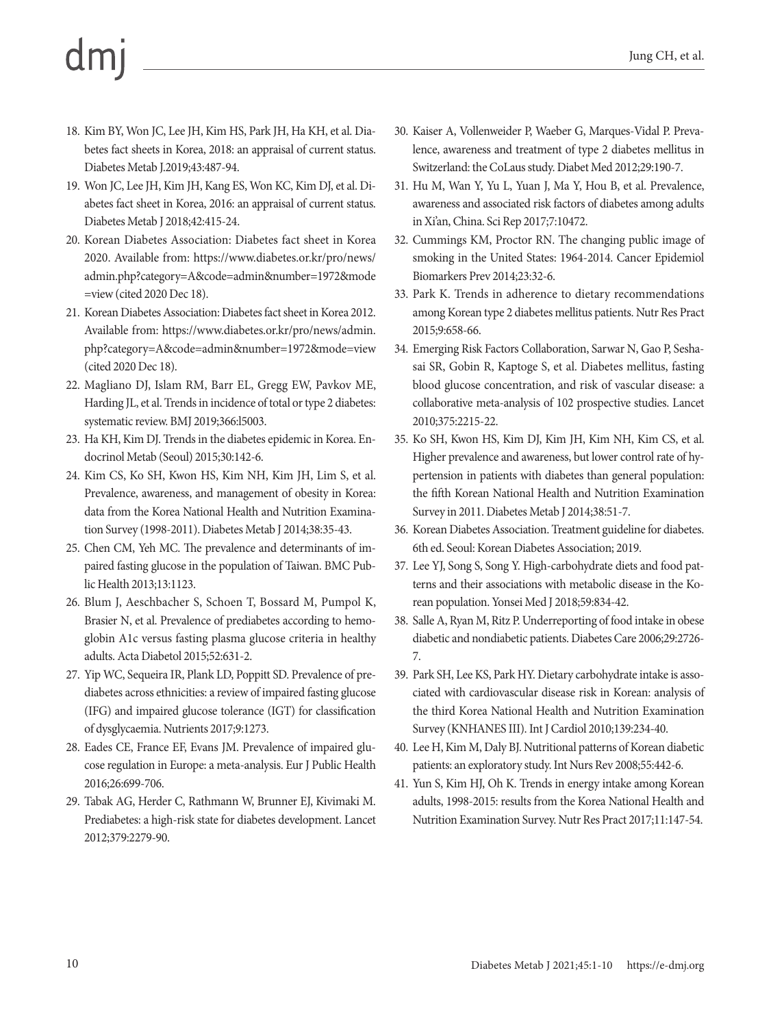- 18. Kim BY, Won JC, Lee JH, Kim HS, Park JH, Ha KH, et al. Diabetes fact sheets in Korea, 2018: an appraisal of current status. Diabetes Metab J.2019;43:487-94.
- 19. Won JC, Lee JH, Kim JH, Kang ES, Won KC, Kim DJ, et al. Diabetes fact sheet in Korea, 2016: an appraisal of current status. Diabetes Metab J 2018;42:415-24.
- 20. Korean Diabetes Association: Diabetes fact sheet in Korea 2020. Available from: [https://www.diabetes.or.kr/pro/news/](https://www.diabetes.or.kr/pro/news/admin.php?category=A&code=admin&number=1972&mode=view) [admin.php?category=A&code=admin&number=1972&mode](https://www.diabetes.or.kr/pro/news/admin.php?category=A&code=admin&number=1972&mode=view) [=view](https://www.diabetes.or.kr/pro/news/admin.php?category=A&code=admin&number=1972&mode=view) (cited 2020 Dec 18).
- 21. Korean Diabetes Association: Diabetes fact sheet in Korea 2012. Available from: [https://www.diabetes.or.kr/pro/news/admin.](https://www.diabetes.or.kr/pro/news/admin.php?category=A&code=admin&number=1972&mode=view) [php?category=A&code=admin&number=1972&mode=view](https://www.diabetes.or.kr/pro/news/admin.php?category=A&code=admin&number=1972&mode=view) (cited 2020 Dec 18).
- 22. Magliano DJ, Islam RM, Barr EL, Gregg EW, Pavkov ME, Harding JL, et al. Trends in incidence of total or type 2 diabetes: systematic review. BMJ 2019;366:l5003.
- 23. Ha KH, Kim DJ. Trends in the diabetes epidemic in Korea. Endocrinol Metab (Seoul) 2015;30:142-6.
- 24. Kim CS, Ko SH, Kwon HS, Kim NH, Kim JH, Lim S, et al. Prevalence, awareness, and management of obesity in Korea: data from the Korea National Health and Nutrition Examination Survey (1998-2011). Diabetes Metab J 2014;38:35-43.
- 25. Chen CM, Yeh MC. The prevalence and determinants of impaired fasting glucose in the population of Taiwan. BMC Public Health 2013;13:1123.
- 26. Blum J, Aeschbacher S, Schoen T, Bossard M, Pumpol K, Brasier N, et al. Prevalence of prediabetes according to hemoglobin A1c versus fasting plasma glucose criteria in healthy adults. Acta Diabetol 2015;52:631-2.
- 27. Yip WC, Sequeira IR, Plank LD, Poppitt SD. Prevalence of prediabetes across ethnicities: a review of impaired fasting glucose (IFG) and impaired glucose tolerance (IGT) for classification of dysglycaemia. Nutrients 2017;9:1273.
- 28. Eades CE, France EF, Evans JM. Prevalence of impaired glucose regulation in Europe: a meta-analysis. Eur J Public Health 2016;26:699-706.
- 29. Tabak AG, Herder C, Rathmann W, Brunner EJ, Kivimaki M. Prediabetes: a high-risk state for diabetes development. Lancet 2012;379:2279-90.
- 30. Kaiser A, Vollenweider P, Waeber G, Marques-Vidal P. Prevalence, awareness and treatment of type 2 diabetes mellitus in Switzerland: the CoLaus study. Diabet Med 2012;29:190-7.
- 31. Hu M, Wan Y, Yu L, Yuan J, Ma Y, Hou B, et al. Prevalence, awareness and associated risk factors of diabetes among adults in Xi'an, China. Sci Rep 2017;7:10472.
- 32. Cummings KM, Proctor RN. The changing public image of smoking in the United States: 1964-2014. Cancer Epidemiol Biomarkers Prev 2014;23:32-6.
- 33. Park K. Trends in adherence to dietary recommendations among Korean type 2 diabetes mellitus patients. Nutr Res Pract 2015;9:658-66.
- 34. Emerging Risk Factors Collaboration, Sarwar N, Gao P, Seshasai SR, Gobin R, Kaptoge S, et al. Diabetes mellitus, fasting blood glucose concentration, and risk of vascular disease: a collaborative meta-analysis of 102 prospective studies. Lancet 2010;375:2215-22.
- 35. Ko SH, Kwon HS, Kim DJ, Kim JH, Kim NH, Kim CS, et al. Higher prevalence and awareness, but lower control rate of hypertension in patients with diabetes than general population: the fifth Korean National Health and Nutrition Examination Survey in 2011. Diabetes Metab J 2014;38:51-7.
- 36. Korean Diabetes Association. Treatment guideline for diabetes. 6th ed. Seoul: Korean Diabetes Association; 2019.
- 37. Lee YJ, Song S, Song Y. High-carbohydrate diets and food patterns and their associations with metabolic disease in the Korean population. Yonsei Med J 2018;59:834-42.
- 38. Salle A, Ryan M, Ritz P. Underreporting of food intake in obese diabetic and nondiabetic patients. Diabetes Care 2006;29:2726- 7.
- 39. Park SH, Lee KS, Park HY. Dietary carbohydrate intake is associated with cardiovascular disease risk in Korean: analysis of the third Korea National Health and Nutrition Examination Survey (KNHANES III). Int J Cardiol 2010;139:234-40.
- 40. Lee H, Kim M, Daly BJ. Nutritional patterns of Korean diabetic patients: an exploratory study. Int Nurs Rev 2008;55:442-6.
- 41. Yun S, Kim HJ, Oh K. Trends in energy intake among Korean adults, 1998-2015: results from the Korea National Health and Nutrition Examination Survey. Nutr Res Pract 2017;11:147-54.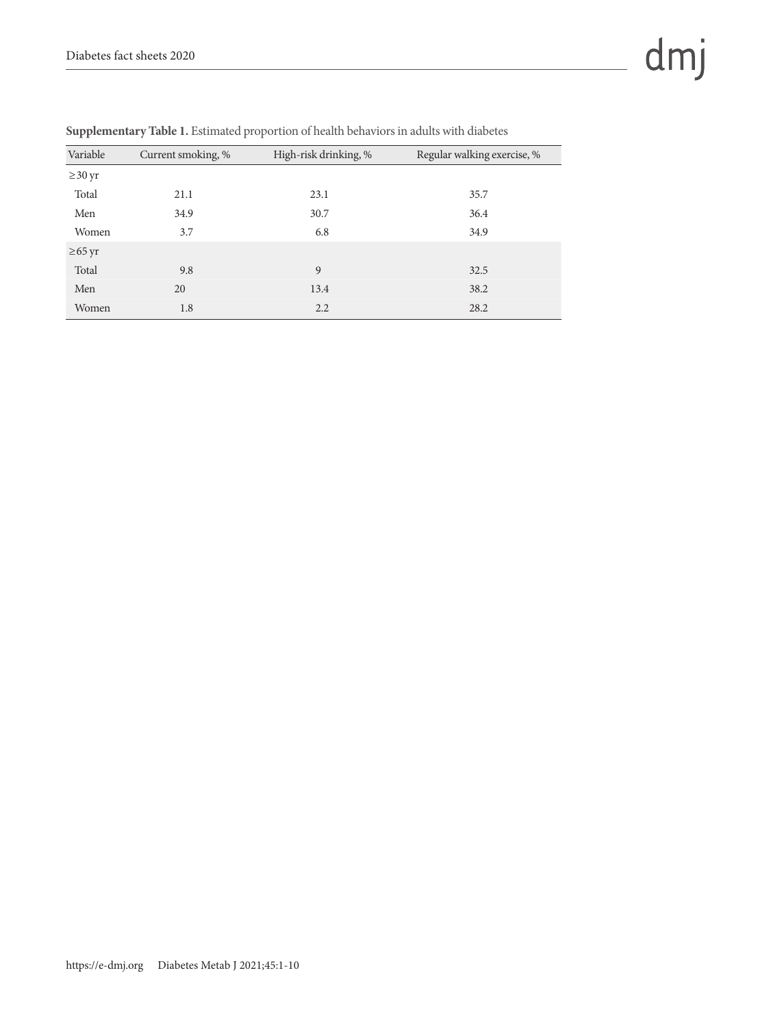| Variable     | Current smoking, % | High-risk drinking, % | Regular walking exercise, % |
|--------------|--------------------|-----------------------|-----------------------------|
| $\geq$ 30 yr |                    |                       |                             |
| Total        | 21.1               | 23.1                  | 35.7                        |
| Men          | 34.9               | 30.7                  | 36.4                        |
| Women        | 3.7                | 6.8                   | 34.9                        |
| $\geq 65$ yr |                    |                       |                             |
| Total        | 9.8                | 9                     | 32.5                        |
| Men          | 20                 | 13.4                  | 38.2                        |
| Women        | 1.8                | 2.2                   | 28.2                        |

**Supplementary Table 1.** Estimated proportion of health behaviors in adults with diabetes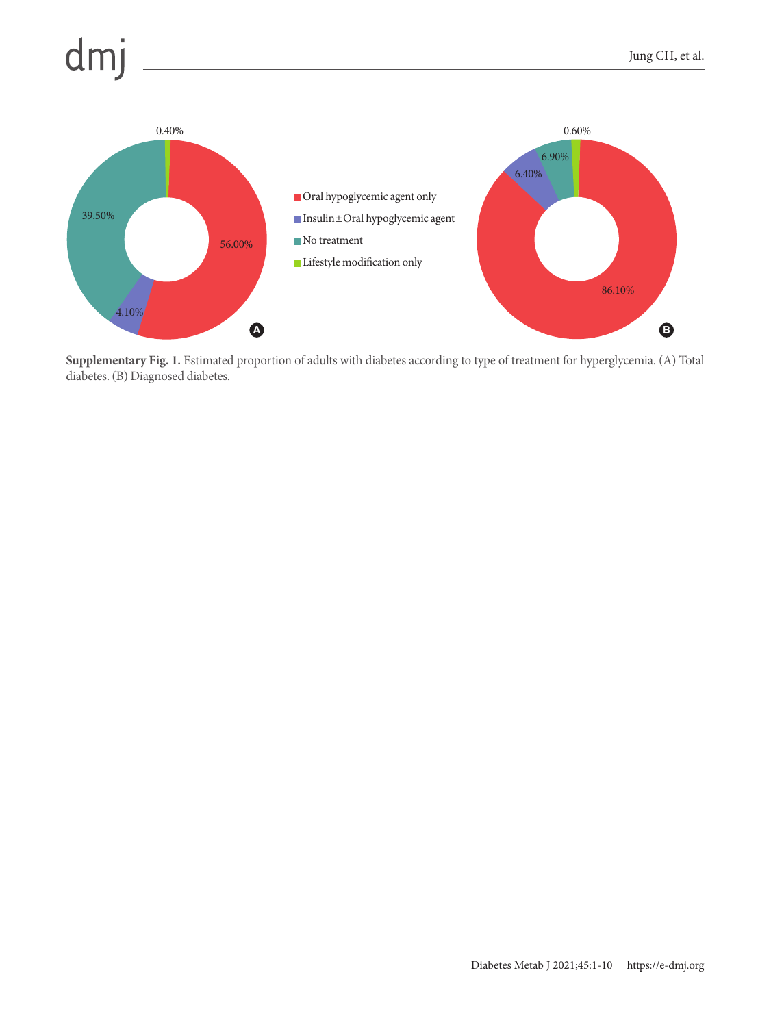

 $dmj$ 

**Supplementary Fig. 1.** Estimated proportion of adults with diabetes according to type of treatment for hyperglycemia. (A) Total diabetes. (B) Diagnosed diabetes.